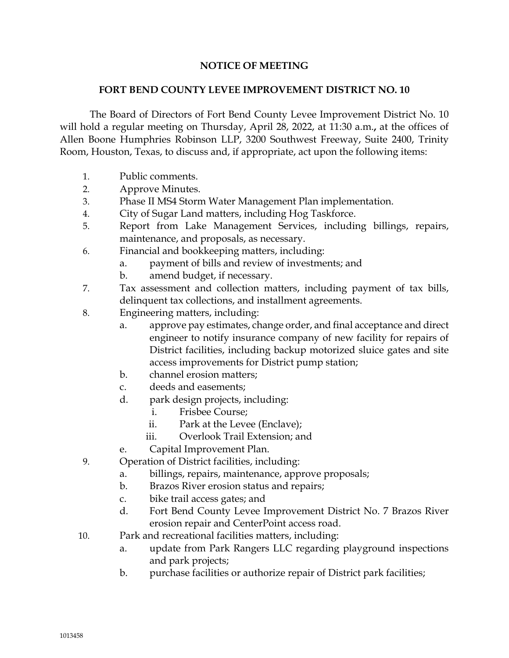## **NOTICE OF MEETING**

## **FORT BEND COUNTY LEVEE IMPROVEMENT DISTRICT NO. 10**

 The Board of Directors of Fort Bend County Levee Improvement District No. 10 will hold a regular meeting on Thursday, April 28, 2022, at 11:30 a.m.**,** at the offices of Allen Boone Humphries Robinson LLP, 3200 Southwest Freeway, Suite 2400, Trinity Room, Houston, Texas, to discuss and, if appropriate, act upon the following items:

- 1. Public comments.
- 2. Approve Minutes.
- 3. Phase II MS4 Storm Water Management Plan implementation.
- 4. City of Sugar Land matters, including Hog Taskforce.
- 5. Report from Lake Management Services, including billings, repairs, maintenance, and proposals, as necessary.
- 6. Financial and bookkeeping matters, including:
	- a. payment of bills and review of investments; and
	- b. amend budget, if necessary.
- 7. Tax assessment and collection matters, including payment of tax bills, delinquent tax collections, and installment agreements.
- 8. Engineering matters, including:
	- a. approve pay estimates, change order, and final acceptance and direct engineer to notify insurance company of new facility for repairs of District facilities, including backup motorized sluice gates and site access improvements for District pump station;
	- b. channel erosion matters;
	- c. deeds and easements;
	- d. park design projects, including:
		- i. Frisbee Course;
		- ii. Park at the Levee (Enclave);
		- iii. Overlook Trail Extension; and
	- e. Capital Improvement Plan.
- 9. Operation of District facilities, including:
	- a. billings, repairs, maintenance, approve proposals;
	- b. Brazos River erosion status and repairs;
	- c. bike trail access gates; and
	- d. Fort Bend County Levee Improvement District No. 7 Brazos River erosion repair and CenterPoint access road.
- 10. Park and recreational facilities matters, including:
	- a. update from Park Rangers LLC regarding playground inspections and park projects;
	- b. purchase facilities or authorize repair of District park facilities;